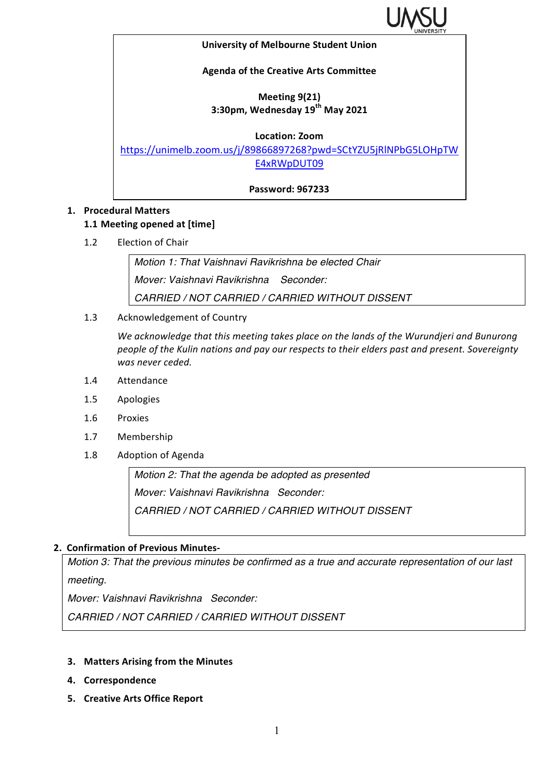

#### **University of Melbourne Student Union**

### **Agenda of the Creative Arts Committee**

## **Meeting 9(21) 3:30pm, Wednesday 19th May 2021**

#### **Location: Zoom**

https://unimelb.zoom.us/j/89866897268?pwd=SCtYZU5jRlNPbG5LOHpTW E4xRWpDUT09

**Password: 967233**

### **1. Procedural Matters**

### **1.1 Meeting opened at [time]**

1.2 Election of Chair

*Motion 1: That Vaishnavi Ravikrishna be elected Chair Mover: Vaishnavi Ravikrishna Seconder: CARRIED / NOT CARRIED / CARRIED WITHOUT DISSENT*

1.3 Acknowledgement of Country

We acknowledge that this meeting takes place on the lands of the Wurundjeri and Bunurong people of the Kulin nations and pay our respects to their elders past and present. Sovereignty was never ceded.

- 1.4 Attendance
- 1.5 Apologies
- 1.6 Proxies
- 1.7 Membership
- 1.8 Adoption of Agenda

*Motion 2: That the agenda be adopted as presented Mover: Vaishnavi Ravikrishna Seconder: CARRIED / NOT CARRIED / CARRIED WITHOUT DISSENT*

## **2. Confirmation of Previous Minutes-**

*Motion 3: That the previous minutes be confirmed as a true and accurate representation of our last meeting.*

*Mover: Vaishnavi Ravikrishna Seconder:* 

*CARRIED / NOT CARRIED / CARRIED WITHOUT DISSENT*

- **3.** Matters Arising from the Minutes
- **4. Correspondence**
- **5. Creative Arts Office Report**